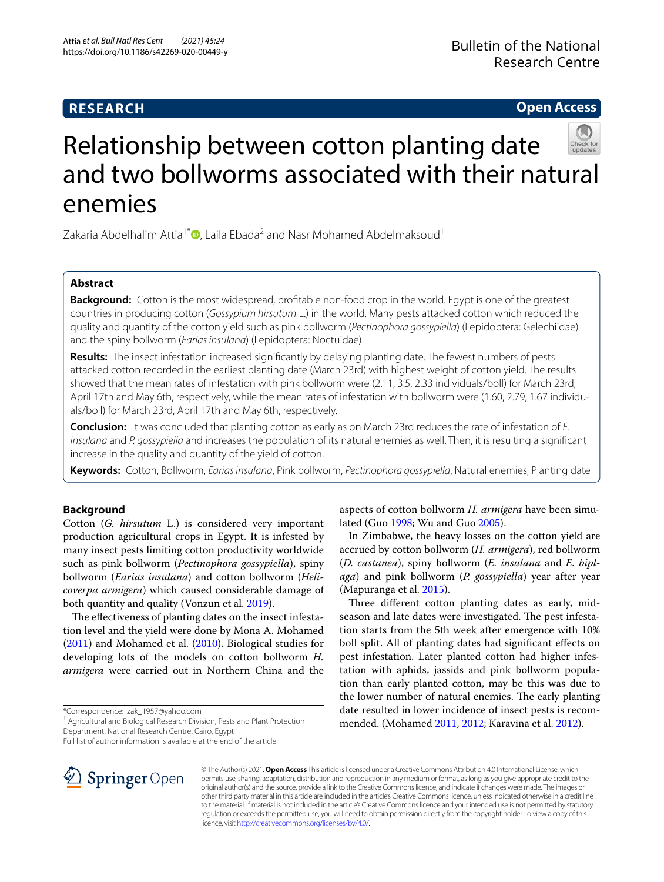## **RESEARCH**

**Open Access**

# Relationship between cotton planting date and two bollworms associated with their natural enemies

Zakaria Abdelhalim Attia<sup>1\*</sup><sup>D</sup>[,](http://orcid.org/0000-0002-7754-8934) Laila Ebada<sup>2</sup> and Nasr Mohamed Abdelmaksoud<sup>1</sup>

## **Abstract**

**Background:** Cotton is the most widespread, proftable non-food crop in the world. Egypt is one of the greatest countries in producing cotton (*Gossypium hirsutum* L.) in the world. Many pests attacked cotton which reduced the quality and quantity of the cotton yield such as pink bollworm (*Pectinophora gossypiella*) (Lepidoptera: Gelechiidae) and the spiny bollworm (*Earias insulana*) (Lepidoptera: Noctuidae).

**Results:** The insect infestation increased signifcantly by delaying planting date. The fewest numbers of pests attacked cotton recorded in the earliest planting date (March 23rd) with highest weight of cotton yield. The results showed that the mean rates of infestation with pink bollworm were (2.11, 3.5, 2.33 individuals/boll) for March 23rd, April 17th and May 6th, respectively, while the mean rates of infestation with bollworm were (1.60, 2.79, 1.67 individuals/boll) for March 23rd, April 17th and May 6th, respectively.

**Conclusion:** It was concluded that planting cotton as early as on March 23rd reduces the rate of infestation of *E. insulana* and *P. gossypiella* and increases the population of its natural enemies as well. Then, it is resulting a signifcant increase in the quality and quantity of the yield of cotton.

**Keywords:** Cotton, Bollworm, *Earias insulana*, Pink bollworm, *Pectinophora gossypiella*, Natural enemies, Planting date

## **Background**

Cotton (*G. hirsutum* L.) is considered very important production agricultural crops in Egypt. It is infested by many insect pests limiting cotton productivity worldwide such as pink bollworm (*Pectinophora gossypiella*), spiny bollworm (*Earias insulana*) and cotton bollworm (*Helicoverpa armigera*) which caused considerable damage of both quantity and quality (Vonzun et al. [2019](#page-3-0)).

The effectiveness of planting dates on the insect infestation level and the yield were done by Mona A. Mohamed ([2011](#page-3-1)) and Mohamed et al. ([2010](#page-3-2)). Biological studies for developing lots of the models on cotton bollworm *H. armigera* were carried out in Northern China and the

\*Correspondence: zak\_1957@yahoo.com

<sup>1</sup> Agricultural and Biological Research Division, Pests and Plant Protection Department, National Research Centre, Cairo, Egypt

Full list of author information is available at the end of the article



aspects of cotton bollworm *H. armigera* have been simulated (Guo [1998;](#page-3-3) Wu and Guo [2005\)](#page-3-4).

In Zimbabwe, the heavy losses on the cotton yield are accrued by cotton bollworm (*H. armigera*), red bollworm (*D. castanea*), spiny bollworm (*E. insulana* and *E. biplaga*) and pink bollworm (*P. gossypiella*) year after year (Mapuranga et al. [2015\)](#page-3-5).

Three different cotton planting dates as early, midseason and late dates were investigated. The pest infestation starts from the 5th week after emergence with 10% boll split. All of planting dates had signifcant efects on pest infestation. Later planted cotton had higher infestation with aphids, jassids and pink bollworm population than early planted cotton, may be this was due to the lower number of natural enemies. The early planting date resulted in lower incidence of insect pests is recommended. (Mohamed [2011,](#page-3-1) [2012](#page-3-6); Karavina et al. [2012\)](#page-3-7).

© The Author(s) 2021. **Open Access** This article is licensed under a Creative Commons Attribution 4.0 International License, which permits use, sharing, adaptation, distribution and reproduction in any medium or format, as long as you give appropriate credit to the original author(s) and the source, provide a link to the Creative Commons licence, and indicate if changes were made. The images or other third party material in this article are included in the article's Creative Commons licence, unless indicated otherwise in a credit line to the material. If material is not included in the article's Creative Commons licence and your intended use is not permitted by statutory regulation or exceeds the permitted use, you will need to obtain permission directly from the copyright holder. To view a copy of this licence, visit [http://creativecommons.org/licenses/by/4.0/.](http://creativecommons.org/licenses/by/4.0/)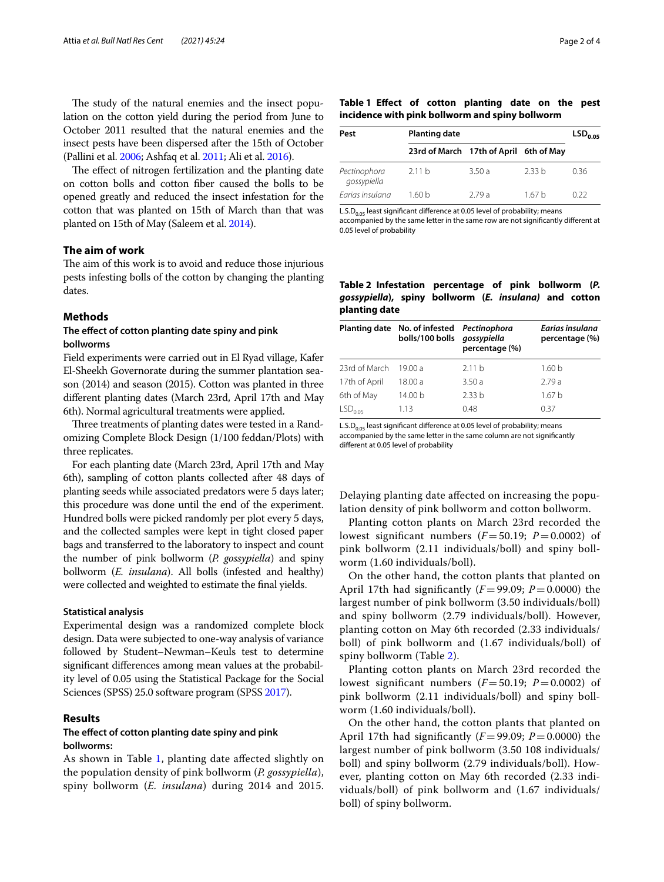The study of the natural enemies and the insect population on the cotton yield during the period from June to October 2011 resulted that the natural enemies and the insect pests have been dispersed after the 15th of October (Pallini et al. [2006;](#page-3-8) Ashfaq et al. [2011;](#page-3-9) Ali et al. [2016\)](#page-3-10).

The effect of nitrogen fertilization and the planting date on cotton bolls and cotton fber caused the bolls to be opened greatly and reduced the insect infestation for the cotton that was planted on 15th of March than that was planted on 15th of May (Saleem et al. [2014](#page-3-11)).

## **The aim of work**

The aim of this work is to avoid and reduce those injurious pests infesting bolls of the cotton by changing the planting dates.

#### **Methods**

## **The efect of cotton planting date spiny and pink bollworms**

Field experiments were carried out in El Ryad village, Kafer El-Sheekh Governorate during the summer plantation season (2014) and season (2015). Cotton was planted in three diferent planting dates (March 23rd, April 17th and May 6th). Normal agricultural treatments were applied.

Three treatments of planting dates were tested in a Randomizing Complete Block Design (1/100 feddan/Plots) with three replicates.

For each planting date (March 23rd, April 17th and May 6th), sampling of cotton plants collected after 48 days of planting seeds while associated predators were 5 days later; this procedure was done until the end of the experiment. Hundred bolls were picked randomly per plot every 5 days, and the collected samples were kept in tight closed paper bags and transferred to the laboratory to inspect and count the number of pink bollworm (*P. gossypiella*) and spiny bollworm (*E. insulana*). All bolls (infested and healthy) were collected and weighted to estimate the fnal yields.

#### **Statistical analysis**

Experimental design was a randomized complete block design. Data were subjected to one-way analysis of variance followed by Student–Newman–Keuls test to determine signifcant diferences among mean values at the probability level of 0.05 using the Statistical Package for the Social Sciences (SPSS) 25.0 software program (SPSS [2017\)](#page-3-12).

## **Results**

## **The efect of cotton planting date spiny and pink bollworms:**

As shown in Table [1,](#page-1-0) planting date afected slightly on the population density of pink bollworm (*P. gossypiella*), spiny bollworm (*E. insulana*) during 2014 and 2015.

#### <span id="page-1-0"></span>**Table 1 Efect of cotton planting date on the pest incidence with pink bollworm and spiny bollworm**

| Pest                        | <b>Planting date</b>                   |       |                   | LSD <sub>0.05</sub> |
|-----------------------------|----------------------------------------|-------|-------------------|---------------------|
|                             | 23rd of March 17th of April 6th of May |       |                   |                     |
| Pectinophora<br>gossypiella | 2.11h                                  | 3.50a | 2.33 <sub>b</sub> | 036                 |
| Earias insulana             | 1.60 b                                 | 279 a | 167 <sub>h</sub>  | 0.22                |

L.S.D<sub>0.05</sub> least significant difference at 0.05 level of probability; means

accompanied by the same letter in the same row are not signifcantly diferent at 0.05 level of probability

<span id="page-1-1"></span>**Table 2 Infestation percentage of pink bollworm (***P. gossypiella***), spiny bollworm (***E. insulana)* **and cotton planting date**

|                     | Planting date No. of infested Pectinophora<br>bolls/100 bolls gossypiella | percentage (%)    | Earias insulana<br>percentage (%) |
|---------------------|---------------------------------------------------------------------------|-------------------|-----------------------------------|
| 23rd of March       | 19.00 a                                                                   | 2.11h             | 1.60 <sub>b</sub>                 |
| 17th of April       | 18.00 a                                                                   | 3.50a             | 2.79a                             |
| 6th of May          | 14.00 b                                                                   | 2.33 <sub>b</sub> | 1.67 <sub>b</sub>                 |
| LSD <sub>0.05</sub> | 1.13                                                                      | 0.48              | 0.37                              |

L.S.D<sub>0.05</sub> least significant difference at 0.05 level of probability; means accompanied by the same letter in the same column are not significantly diferent at 0.05 level of probability

Delaying planting date afected on increasing the population density of pink bollworm and cotton bollworm.

Planting cotton plants on March 23rd recorded the lowest significant numbers  $(F = 50.19; P = 0.0002)$  of pink bollworm (2.11 individuals/boll) and spiny bollworm (1.60 individuals/boll).

On the other hand, the cotton plants that planted on April 17th had significantly  $(F=99.09; P=0.0000)$  the largest number of pink bollworm (3.50 individuals/boll) and spiny bollworm (2.79 individuals/boll). However, planting cotton on May 6th recorded (2.33 individuals/ boll) of pink bollworm and (1.67 individuals/boll) of spiny bollworm (Table [2\)](#page-1-1).

Planting cotton plants on March 23rd recorded the lowest significant numbers  $(F=50.19; P=0.0002)$  of pink bollworm (2.11 individuals/boll) and spiny bollworm (1.60 individuals/boll).

On the other hand, the cotton plants that planted on April 17th had significantly  $(F=99.09; P=0.0000)$  the largest number of pink bollworm (3.50 108 individuals/ boll) and spiny bollworm (2.79 individuals/boll). However, planting cotton on May 6th recorded (2.33 individuals/boll) of pink bollworm and (1.67 individuals/ boll) of spiny bollworm.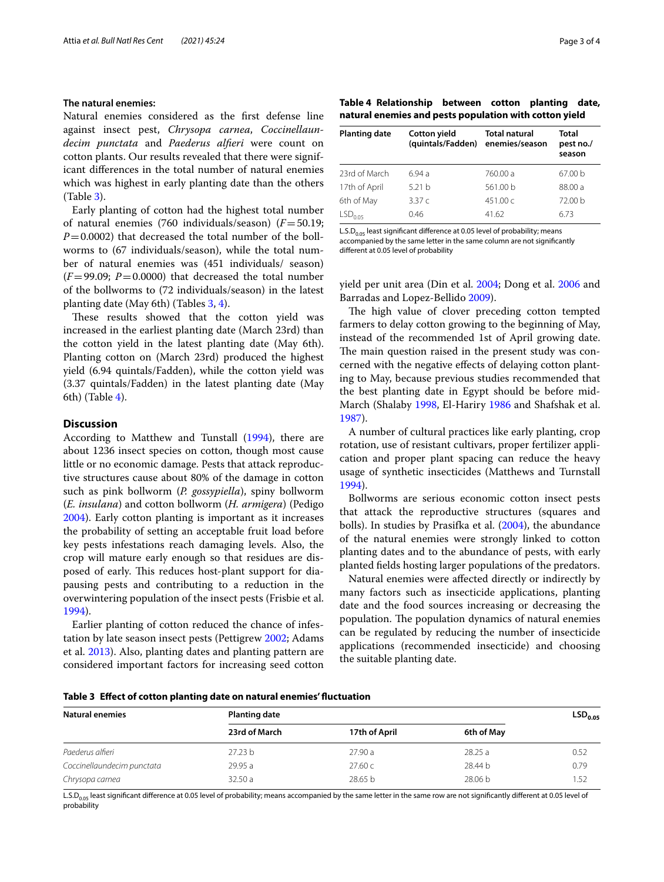#### **The natural enemies:**

Natural enemies considered as the frst defense line against insect pest, *Chrysopa carnea*, *Coccinellaundecim punctata* and *Paederus alferi* were count on cotton plants. Our results revealed that there were significant diferences in the total number of natural enemies which was highest in early planting date than the others (Table [3](#page-2-0)).

Early planting of cotton had the highest total number of natural enemies (760 individuals/season) (*F*=50.19;  $P=0.0002$ ) that decreased the total number of the bollworms to (67 individuals/season), while the total number of natural enemies was (451 individuals/ season)  $(F=99.09; P=0.0000)$  that decreased the total number of the bollworms to (72 individuals/season) in the latest planting date (May 6th) (Tables [3,](#page-2-0) [4\)](#page-2-1).

These results showed that the cotton yield was increased in the earliest planting date (March 23rd) than the cotton yield in the latest planting date (May 6th). Planting cotton on (March 23rd) produced the highest yield (6.94 quintals/Fadden), while the cotton yield was (3.37 quintals/Fadden) in the latest planting date (May 6th) (Table [4\)](#page-2-1).

## **Discussion**

According to Matthew and Tunstall [\(1994](#page-3-13)), there are about 1236 insect species on cotton, though most cause little or no economic damage. Pests that attack reproductive structures cause about 80% of the damage in cotton such as pink bollworm (*P. gossypiella*), spiny bollworm (*E. insulana*) and cotton bollworm (*H. armigera*) (Pedigo [2004](#page-3-14)). Early cotton planting is important as it increases the probability of setting an acceptable fruit load before key pests infestations reach damaging levels. Also, the crop will mature early enough so that residues are disposed of early. This reduces host-plant support for diapausing pests and contributing to a reduction in the overwintering population of the insect pests (Frisbie et al. [1994](#page-3-15)).

Earlier planting of cotton reduced the chance of infestation by late season insect pests (Pettigrew [2002](#page-3-16); Adams et al. [2013\)](#page-3-17). Also, planting dates and planting pattern are considered important factors for increasing seed cotton

<span id="page-2-1"></span>

| Table 4 Relationship between cotton planting date,     |  |  |
|--------------------------------------------------------|--|--|
| natural enemies and pests population with cotton yield |  |  |

| <b>Planting date</b> | <b>Cotton yield</b><br>(quintals/Fadden) | <b>Total natural</b><br>enemies/season | Total<br>pest no./<br>season |
|----------------------|------------------------------------------|----------------------------------------|------------------------------|
| 23rd of March        | 6 94 a                                   | 760.00 a                               | 67.00 <sub>b</sub>           |
| 17th of April        | 5.21 <sub>b</sub>                        | 561.00 b                               | 88.00 a                      |
| 6th of May           | 3.37 $c$                                 | 451.00c                                | 72.00 <sub>b</sub>           |
| LSD <sub>0.05</sub>  | 0.46                                     | 41.62                                  | 6.73                         |

L.S.D $_{0.05}$  least significant difference at 0.05 level of probability; means accompanied by the same letter in the same column are not signifcantly diferent at 0.05 level of probability

yield per unit area (Din et al. [2004](#page-3-18); Dong et al. [2006](#page-3-19) and Barradas and Lopez-Bellido [2009\)](#page-3-20).

The high value of clover preceding cotton tempted farmers to delay cotton growing to the beginning of May, instead of the recommended 1st of April growing date. The main question raised in the present study was concerned with the negative efects of delaying cotton planting to May, because previous studies recommended that the best planting date in Egypt should be before mid-March (Shalaby [1998](#page-3-21), El-Hariry [1986](#page-3-22) and Shafshak et al. [1987](#page-3-23)).

A number of cultural practices like early planting, crop rotation, use of resistant cultivars, proper fertilizer application and proper plant spacing can reduce the heavy usage of synthetic insecticides (Matthews and Turnstall [1994](#page-3-13)).

Bollworms are serious economic cotton insect pests that attack the reproductive structures (squares and bolls). In studies by Prasifka et al. [\(2004\)](#page-3-24), the abundance of the natural enemies were strongly linked to cotton planting dates and to the abundance of pests, with early planted felds hosting larger populations of the predators.

Natural enemies were afected directly or indirectly by many factors such as insecticide applications, planting date and the food sources increasing or decreasing the population. The population dynamics of natural enemies can be regulated by reducing the number of insecticide applications (recommended insecticide) and choosing the suitable planting date.

<span id="page-2-0"></span>**Table 3 Efect of cotton planting date on natural enemies' fuctuation**

| <b>Natural enemies</b>     | <b>Planting date</b> |               |            |      |
|----------------------------|----------------------|---------------|------------|------|
|                            | 23rd of March        | 17th of April | 6th of May |      |
| Paederus alfieri           | 27.23 b              | 27.90a        | 28.25a     | 0.52 |
| Coccinellaundecim punctata | 29.95 a              | 27.60c        | 28.44 b    | 0.79 |
| Chrysopa carnea            | 32.50a               | 28.65 b       | 28.06 b    | 1.52 |

L.S.D<sub>0.05</sub> least significant difference at 0.05 level of probability; means accompanied by the same letter in the same row are not significantly different at 0.05 level of probability